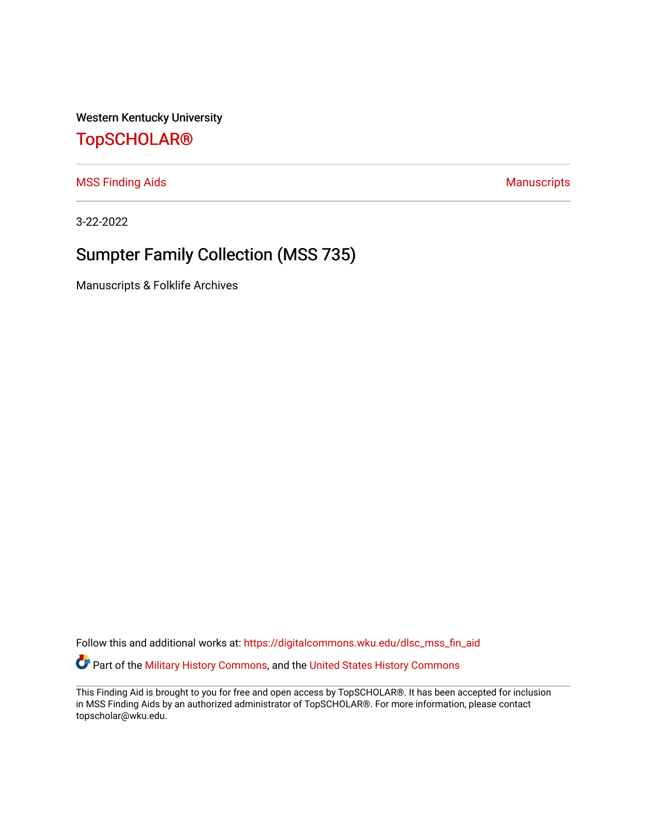Western Kentucky University

## [TopSCHOLAR®](https://digitalcommons.wku.edu/)

[MSS Finding Aids](https://digitalcommons.wku.edu/dlsc_mss_fin_aid) **MSS** Finding Aids **Manuscripts** Manuscripts

3-22-2022

# Sumpter Family Collection (MSS 735)

Manuscripts & Folklife Archives

Follow this and additional works at: [https://digitalcommons.wku.edu/dlsc\\_mss\\_fin\\_aid](https://digitalcommons.wku.edu/dlsc_mss_fin_aid?utm_source=digitalcommons.wku.edu%2Fdlsc_mss_fin_aid%2F4996&utm_medium=PDF&utm_campaign=PDFCoverPages)  Part of the [Military History Commons](http://network.bepress.com/hgg/discipline/504?utm_source=digitalcommons.wku.edu%2Fdlsc_mss_fin_aid%2F4996&utm_medium=PDF&utm_campaign=PDFCoverPages), and the [United States History Commons](http://network.bepress.com/hgg/discipline/495?utm_source=digitalcommons.wku.edu%2Fdlsc_mss_fin_aid%2F4996&utm_medium=PDF&utm_campaign=PDFCoverPages)

This Finding Aid is brought to you for free and open access by TopSCHOLAR®. It has been accepted for inclusion in MSS Finding Aids by an authorized administrator of TopSCHOLAR®. For more information, please contact topscholar@wku.edu.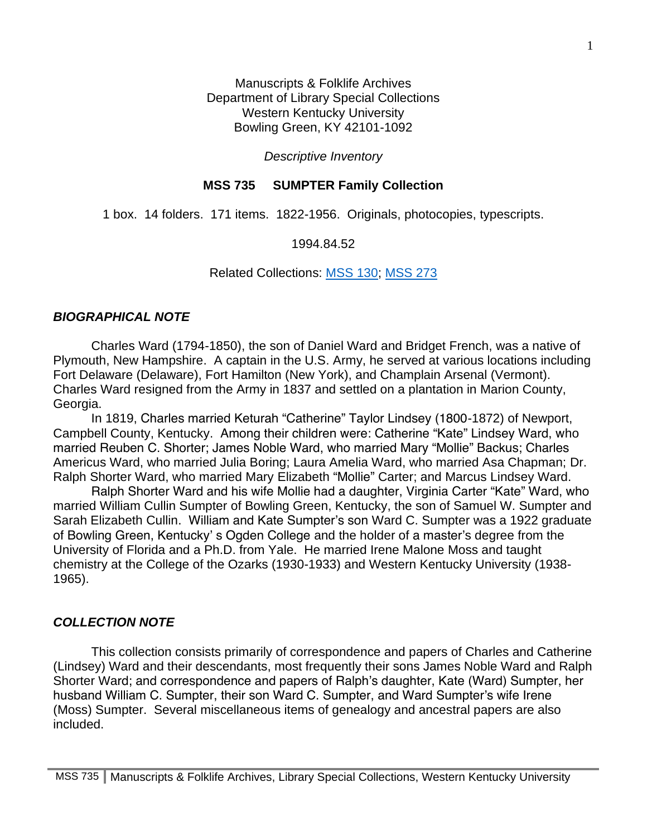Manuscripts & Folklife Archives Department of Library Special Collections Western Kentucky University Bowling Green, KY 42101-1092

*Descriptive Inventory*

#### **MSS 735 SUMPTER Family Collection**

1 box. 14 folders. 171 items. 1822-1956. Originals, photocopies, typescripts.

1994.84.52

Related Collections: [MSS 130;](https://digitalcommons.wku.edu/dlsc_mss_fin_aid/66/) [MSS 273](https://digitalcommons.wku.edu/dlsc_mss_fin_aid/908/)

### *BIOGRAPHICAL NOTE*

Charles Ward (1794-1850), the son of Daniel Ward and Bridget French, was a native of Plymouth, New Hampshire. A captain in the U.S. Army, he served at various locations including Fort Delaware (Delaware), Fort Hamilton (New York), and Champlain Arsenal (Vermont). Charles Ward resigned from the Army in 1837 and settled on a plantation in Marion County, Georgia.

In 1819, Charles married Keturah "Catherine" Taylor Lindsey (1800-1872) of Newport, Campbell County, Kentucky. Among their children were: Catherine "Kate" Lindsey Ward, who married Reuben C. Shorter; James Noble Ward, who married Mary "Mollie" Backus; Charles Americus Ward, who married Julia Boring; Laura Amelia Ward, who married Asa Chapman; Dr. Ralph Shorter Ward, who married Mary Elizabeth "Mollie" Carter; and Marcus Lindsey Ward.

Ralph Shorter Ward and his wife Mollie had a daughter, Virginia Carter "Kate" Ward, who married William Cullin Sumpter of Bowling Green, Kentucky, the son of Samuel W. Sumpter and Sarah Elizabeth Cullin. William and Kate Sumpter's son Ward C. Sumpter was a 1922 graduate of Bowling Green, Kentucky' s Ogden College and the holder of a master's degree from the University of Florida and a Ph.D. from Yale. He married Irene Malone Moss and taught chemistry at the College of the Ozarks (1930-1933) and Western Kentucky University (1938- 1965).

## *COLLECTION NOTE*

This collection consists primarily of correspondence and papers of Charles and Catherine (Lindsey) Ward and their descendants, most frequently their sons James Noble Ward and Ralph Shorter Ward; and correspondence and papers of Ralph's daughter, Kate (Ward) Sumpter, her husband William C. Sumpter, their son Ward C. Sumpter, and Ward Sumpter's wife Irene (Moss) Sumpter. Several miscellaneous items of genealogy and ancestral papers are also included.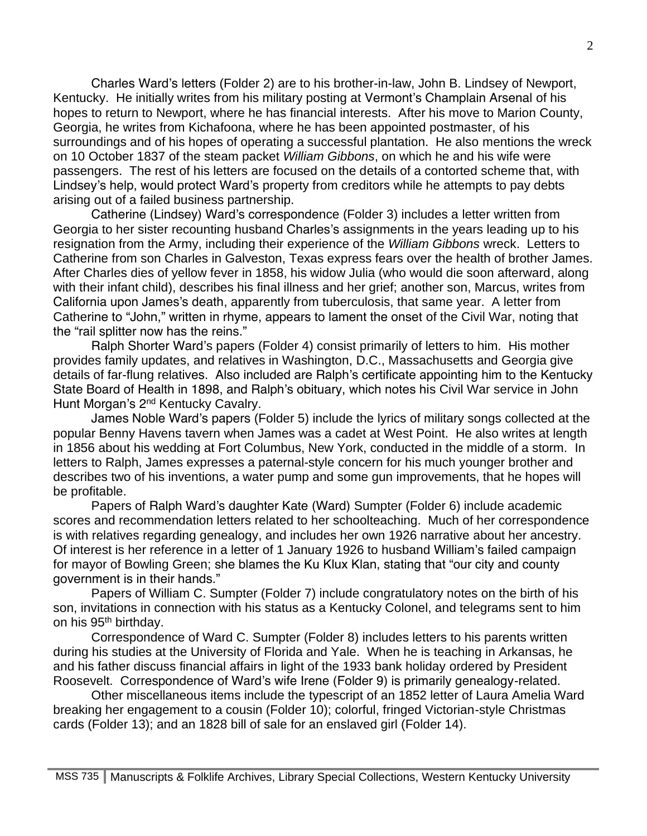Charles Ward's letters (Folder 2) are to his brother-in-law, John B. Lindsey of Newport, Kentucky. He initially writes from his military posting at Vermont's Champlain Arsenal of his hopes to return to Newport, where he has financial interests. After his move to Marion County, Georgia, he writes from Kichafoona, where he has been appointed postmaster, of his surroundings and of his hopes of operating a successful plantation. He also mentions the wreck on 10 October 1837 of the steam packet *William Gibbons*, on which he and his wife were passengers. The rest of his letters are focused on the details of a contorted scheme that, with Lindsey's help, would protect Ward's property from creditors while he attempts to pay debts arising out of a failed business partnership.

Catherine (Lindsey) Ward's correspondence (Folder 3) includes a letter written from Georgia to her sister recounting husband Charles's assignments in the years leading up to his resignation from the Army, including their experience of the *William Gibbons* wreck. Letters to Catherine from son Charles in Galveston, Texas express fears over the health of brother James. After Charles dies of yellow fever in 1858, his widow Julia (who would die soon afterward, along with their infant child), describes his final illness and her grief; another son, Marcus, writes from California upon James's death, apparently from tuberculosis, that same year. A letter from Catherine to "John," written in rhyme, appears to lament the onset of the Civil War, noting that the "rail splitter now has the reins."

Ralph Shorter Ward's papers (Folder 4) consist primarily of letters to him. His mother provides family updates, and relatives in Washington, D.C., Massachusetts and Georgia give details of far-flung relatives. Also included are Ralph's certificate appointing him to the Kentucky State Board of Health in 1898, and Ralph's obituary, which notes his Civil War service in John Hunt Morgan's 2<sup>nd</sup> Kentucky Cavalry.

James Noble Ward's papers (Folder 5) include the lyrics of military songs collected at the popular Benny Havens tavern when James was a cadet at West Point. He also writes at length in 1856 about his wedding at Fort Columbus, New York, conducted in the middle of a storm. In letters to Ralph, James expresses a paternal-style concern for his much younger brother and describes two of his inventions, a water pump and some gun improvements, that he hopes will be profitable.

Papers of Ralph Ward's daughter Kate (Ward) Sumpter (Folder 6) include academic scores and recommendation letters related to her schoolteaching. Much of her correspondence is with relatives regarding genealogy, and includes her own 1926 narrative about her ancestry. Of interest is her reference in a letter of 1 January 1926 to husband William's failed campaign for mayor of Bowling Green; she blames the Ku Klux Klan, stating that "our city and county government is in their hands."

Papers of William C. Sumpter (Folder 7) include congratulatory notes on the birth of his son, invitations in connection with his status as a Kentucky Colonel, and telegrams sent to him on his 95<sup>th</sup> birthday.

Correspondence of Ward C. Sumpter (Folder 8) includes letters to his parents written during his studies at the University of Florida and Yale. When he is teaching in Arkansas, he and his father discuss financial affairs in light of the 1933 bank holiday ordered by President Roosevelt. Correspondence of Ward's wife Irene (Folder 9) is primarily genealogy-related.

Other miscellaneous items include the typescript of an 1852 letter of Laura Amelia Ward breaking her engagement to a cousin (Folder 10); colorful, fringed Victorian-style Christmas cards (Folder 13); and an 1828 bill of sale for an enslaved girl (Folder 14).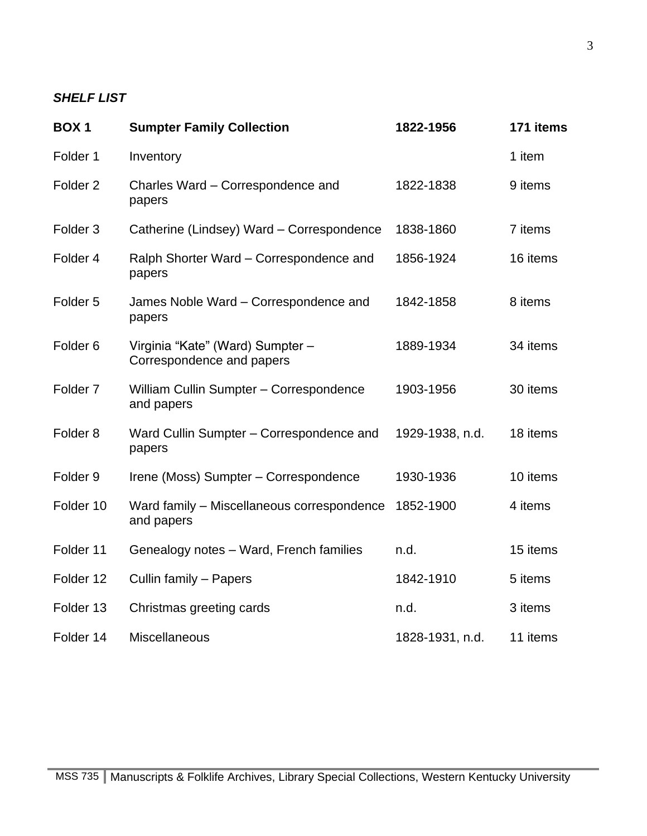## *SHELF LIST*

| <b>BOX1</b>         | <b>Sumpter Family Collection</b>                              | 1822-1956       | 171 items |
|---------------------|---------------------------------------------------------------|-----------------|-----------|
| Folder 1            | Inventory                                                     |                 | 1 item    |
| Folder <sub>2</sub> | Charles Ward - Correspondence and<br>papers                   | 1822-1838       | 9 items   |
| Folder <sub>3</sub> | Catherine (Lindsey) Ward - Correspondence                     | 1838-1860       | 7 items   |
| Folder <sub>4</sub> | Ralph Shorter Ward - Correspondence and<br>papers             | 1856-1924       | 16 items  |
| Folder <sub>5</sub> | James Noble Ward - Correspondence and<br>papers               | 1842-1858       | 8 items   |
| Folder <sub>6</sub> | Virginia "Kate" (Ward) Sumpter -<br>Correspondence and papers | 1889-1934       | 34 items  |
| Folder <sub>7</sub> | William Cullin Sumpter - Correspondence<br>and papers         | 1903-1956       | 30 items  |
| Folder <sub>8</sub> | Ward Cullin Sumpter - Correspondence and<br>papers            | 1929-1938, n.d. | 18 items  |
| Folder <sub>9</sub> | Irene (Moss) Sumpter - Correspondence                         | 1930-1936       | 10 items  |
| Folder 10           | Ward family - Miscellaneous correspondence<br>and papers      | 1852-1900       | 4 items   |
| Folder 11           | Genealogy notes - Ward, French families                       | n.d.            | 15 items  |
| Folder 12           | Cullin family - Papers                                        | 1842-1910       | 5 items   |
| Folder 13           | Christmas greeting cards                                      | n.d.            | 3 items   |
| Folder 14           | Miscellaneous                                                 | 1828-1931, n.d. | 11 items  |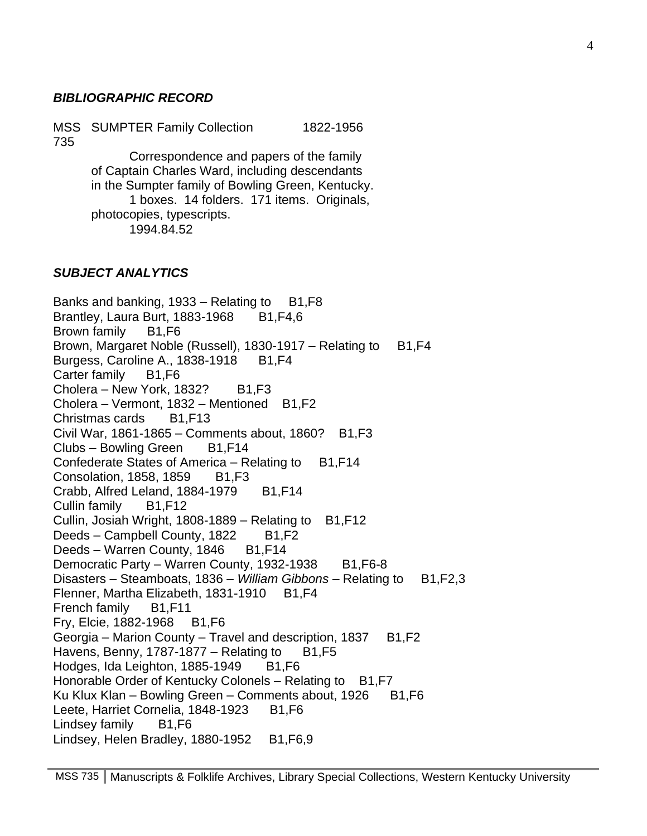#### *BIBLIOGRAPHIC RECORD*

MSS SUMPTER Family Collection 1822-1956 735

> Correspondence and papers of the family of Captain Charles Ward, including descendants in the Sumpter family of Bowling Green, Kentucky. 1 boxes. 14 folders. 171 items. Originals, photocopies, typescripts. 1994.84.52

#### *SUBJECT ANALYTICS*

Banks and banking,  $1933 -$ Relating to B1, F8 Brantley, Laura Burt, 1883-1968 B1, F4, 6 Brown family B1,F6 Brown, Margaret Noble (Russell), 1830-1917 – Relating to B1, F4 Burgess, Caroline A., 1838-1918 B1, F4 Carter family B1.F6 Cholera – New York, 1832? B1, F3 Cholera – Vermont, 1832 – Mentioned B1, F2 Christmas cards B1,F13 Civil War,  $1861-1865$  – Comments about,  $1860$ ? B1, F3 Clubs – Bowling Green B1,F14 Confederate States of America – Relating to B1, F14 Consolation, 1858, 1859 B1, F3 Crabb, Alfred Leland, 1884-1979 B1, F14 Cullin family B1,F12 Cullin, Josiah Wright, 1808-1889 – Relating to  $B1, F12$ Deeds – Campbell County, 1822 B1, F2 Deeds – Warren County, 1846 B1, F14 Democratic Party – Warren County, 1932-1938 B1, F6-8 Disasters – Steamboats, 1836 – *William Gibbons* – Relating to B1, F2, 3 Flenner, Martha Elizabeth, 1831-1910 B1, F4 French family B1,F11 Fry, Elcie, 1882-1968 B1,F6 Georgia – Marion County – Travel and description, 1837  $B1.F2$ Havens, Benny, 1787-1877 – Relating to  $B1,F5$ Hodges, Ida Leighton, 1885-1949 B1, F6 Honorable Order of Kentucky Colonels – Relating to B1, F7 Ku Klux Klan – Bowling Green – Comments about, 1926  $B1,F6$ Leete, Harriet Cornelia, 1848-1923 B1.F6 Lindsey family B1, F6 Lindsey, Helen Bradley, 1880-1952 B1, F6, 9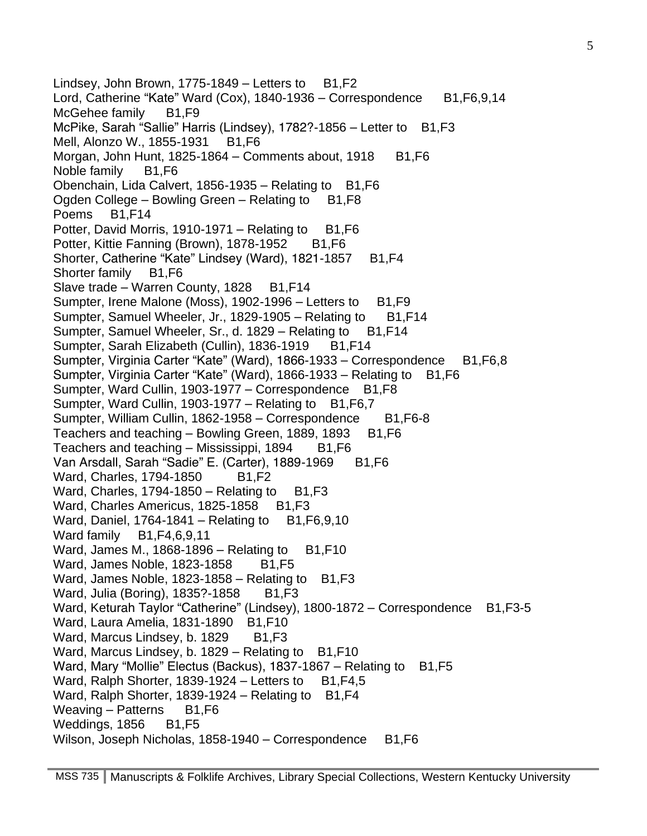Lindsey, John Brown, 1775-1849 – Letters to  $B1,F2$ Lord, Catherine "Kate" Ward (Cox), 1840-1936 – Correspondence B1, F6, 9, 14 McGehee family B1,F9 McPike, Sarah "Sallie" Harris (Lindsey), 1782?-1856 – Letter to B1, F3 Mell, Alonzo W., 1855-1931 B1, F6 Morgan, John Hunt, 1825-1864 – Comments about, 1918  $B1,F6$ Noble family B1, F6 Obenchain, Lida Calvert, 1856-1935 - Relating to B1, F6 Ogden College – Bowling Green – Relating to  $B1, F8$ Poems B1,F14 Potter, David Morris, 1910-1971 – Relating to  $B1,F6$ Potter, Kittie Fanning (Brown), 1878-1952 B1, F6 Shorter, Catherine "Kate" Lindsey (Ward), 1821-1857 B1, F4 Shorter family B1,F6 Slave trade – Warren County, 1828 B1, F14 Sumpter, Irene Malone (Moss), 1902-1996 – Letters to B1, F9 Sumpter, Samuel Wheeler, Jr., 1829-1905 – Relating to B1, F14 Sumpter, Samuel Wheeler, Sr., d. 1829 – Relating to B1, F14 Sumpter, Sarah Elizabeth (Cullin), 1836-1919 B1, F14 Sumpter, Virginia Carter "Kate" (Ward), 1866-1933 – Correspondence B1, F6, 8 Sumpter, Virginia Carter "Kate" (Ward), 1866-1933 – Relating to B1, F6 Sumpter, Ward Cullin, 1903-1977 – Correspondence B1, F8 Sumpter, Ward Cullin, 1903-1977 – Relating to B1, F6, 7 Sumpter, William Cullin, 1862-1958 – Correspondence B1, F6-8 Teachers and teaching  $-$  Bowling Green, 1889, 1893 B1, F6 Teachers and teaching  $-$  Mississippi, 1894 B1, F6 Van Arsdall, Sarah "Sadie" E. (Carter), 1889-1969 B1, F6 Ward, Charles, 1794-1850 B1, F2 Ward, Charles, 1794-1850 – Relating to  $B1,F3$ Ward, Charles Americus, 1825-1858 B1, F3 Ward, Daniel, 1764-1841 – Relating to B1, F6, 9, 10 Ward family B1, F4, 6, 9, 11 Ward, James M.,  $1868-1896$  – Relating to B1, F10 Ward, James Noble, 1823-1858 B1, F5 Ward, James Noble,  $1823-1858$  – Relating to B1, F3 Ward, Julia (Boring), 1835?-1858 B1, F3 Ward, Keturah Taylor "Catherine" (Lindsey), 1800-1872 – Correspondence B1, F3-5 Ward, Laura Amelia, 1831-1890 B1, F10 Ward, Marcus Lindsey, b. 1829 B1, F3 Ward, Marcus Lindsey, b. 1829 – Relating to B1, F10 Ward, Mary "Mollie" Electus (Backus), 1837-1867 – Relating to B1, F5 Ward, Ralph Shorter, 1839-1924 – Letters to  $B1, F4, 5$ Ward, Ralph Shorter, 1839-1924 – Relating to B1, F4 Weaving – Patterns B1,F6 Weddings, 1856 B1, F5 Wilson, Joseph Nicholas, 1858-1940 – Correspondence B1, F6